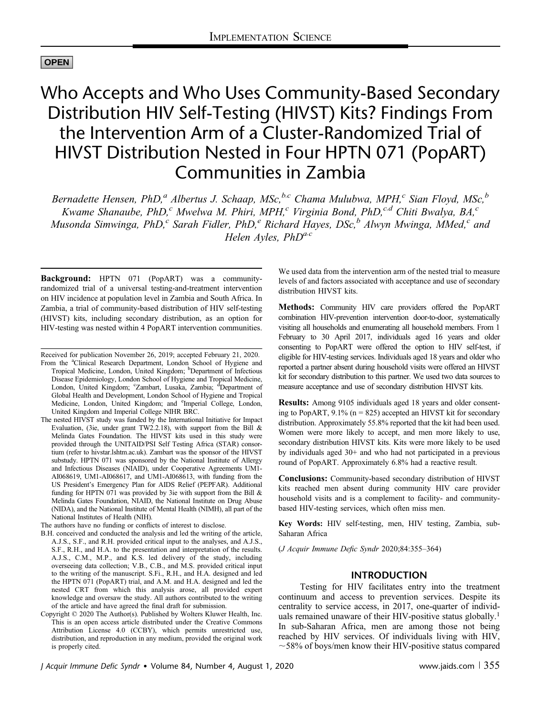# OPEN

# Who Accepts and Who Uses Community-Based Secondary Distribution HIV Self-Testing (HIVST) Kits? Findings From the Intervention Arm of a Cluster-Randomized Trial of HIVST Distribution Nested in Four HPTN 071 (PopART) Communities in Zambia

Bernadette Hensen, PhD,<sup>a</sup> Albertus J. Schaap, MSc,<sup>b,c</sup> Chama Mulubwa, MPH,<sup>c</sup> Sian Floyd, MSc,<sup>b</sup> Kwame Shanaube, PhD,<sup>c</sup> Mwelwa M. Phiri, MPH,<sup>c</sup> Virginia Bond, PhD,<sup>c,d</sup> Chiti Bwalya, BA,<sup>c</sup> Musonda Simwinga, PhD,<sup>c</sup> Sarah Fidler, PhD,<sup>e</sup> Richard Hayes, DSc,<sup>b</sup> Alwyn Mwinga, MMed,<sup>c</sup> and Helen Ayles,  $PhD^{a,c}$ 

Background: HPTN 071 (PopART) was a communityrandomized trial of a universal testing-and-treatment intervention on HIV incidence at population level in Zambia and South Africa. In Zambia, a trial of community-based distribution of HIV self-testing (HIVST) kits, including secondary distribution, as an option for HIV-testing was nested within 4 PopART intervention communities.

Received for publication November 26, 2019; accepted February 21, 2020.

From the <sup>a</sup>Clinical Research Department, London School of Hygiene and Tropical Medicine, London, United Kingdom; <sup>b</sup>Department of Infectious Disease Epidemiology, London School of Hygiene and Tropical Medicine, London, United Kingdom; <sup>c</sup>Zambart, Lusaka, Zambia; <sup>d</sup>Department of Global Health and Development, London School of Hygiene and Tropical Medicine, London, United Kingdom; and <sup>e</sup>Imperial College, London, United Kingdom and Imperial College NIHR BRC.

The nested HIVST study was funded by the International Initiative for Impact Evaluation, (3ie, under grant TW2.2.18), with support from the Bill & Melinda Gates Foundation. The HIVST kits used in this study were provided through the UNITAID/PSI Self Testing Africa (STAR) consortium (refer to hivstar.[lshtm.ac.uk\)](mailto:lshtm.ac.uk). Zambart was the sponsor of the HIVST substudy. HPTN 071 was sponsored by the National Institute of Allergy and Infectious Diseases (NIAID), under Cooperative Agreements UM1- AI068619, UM1-AI068617, and UM1-AI068613, with funding from the US President's Emergency Plan for AIDS Relief (PEPFAR). Additional funding for HPTN 071 was provided by 3ie with support from the Bill & Melinda Gates Foundation, NIAID, the National Institute on Drug Abuse (NIDA), and the National Institute of Mental Health (NIMH), all part of the National Institutes of Health (NIH).

The authors have no funding or conflicts of interest to disclose.

B.H. conceived and conducted the analysis and led the writing of the article, A.J.S., S.F., and R.H. provided critical input to the analyses, and A.J.S., S.F., R.H., and H.A. to the presentation and interpretation of the results. A.J.S., C.M., M.P., and K.S. led delivery of the study, including overseeing data collection; V.B., C.B., and M.S. provided critical input to the writing of the manuscript. S.Fi., R.H., and H.A. designed and led the HPTN 071 (PopART) trial, and A.M. and H.A. designed and led the nested CRT from which this analysis arose, all provided expert knowledge and oversaw the study. All authors contributed to the writing of the article and have agreed the final draft for submission.

Copyright © 2020 The Author(s). Published by Wolters Kluwer Health, Inc. This is an open access article distributed under the [Creative Commons](http://creativecommons.org/licenses/by/4.0/) [Attribution License 4.0 \(CCBY\)](http://creativecommons.org/licenses/by/4.0/), which permits unrestricted use, distribution, and reproduction in any medium, provided the original work is properly cited.

We used data from the intervention arm of the nested trial to measure levels of and factors associated with acceptance and use of secondary distribution HIVST kits.

Methods: Community HIV care providers offered the PopART combination HIV-prevention intervention door-to-door, systematically visiting all households and enumerating all household members. From 1 February to 30 April 2017, individuals aged 16 years and older consenting to PopART were offered the option to HIV self-test, if eligible for HIV-testing services. Individuals aged 18 years and older who reported a partner absent during household visits were offered an HIVST kit for secondary distribution to this partner. We used two data sources to measure acceptance and use of secondary distribution HIVST kits.

Results: Among 9105 individuals aged 18 years and older consenting to PopART,  $9.1\%$  (n = 825) accepted an HIVST kit for secondary distribution. Approximately 55.8% reported that the kit had been used. Women were more likely to accept, and men more likely to use, secondary distribution HIVST kits. Kits were more likely to be used by individuals aged 30+ and who had not participated in a previous round of PopART. Approximately 6.8% had a reactive result.

Conclusions: Community-based secondary distribution of HIVST kits reached men absent during community HIV care provider household visits and is a complement to facility- and communitybased HIV-testing services, which often miss men.

Key Words: HIV self-testing, men, HIV testing, Zambia, sub-Saharan Africa

(J Acquir Immune Defic Syndr 2020;84:355–364)

## INTRODUCTION

Testing for HIV facilitates entry into the treatment continuum and access to prevention services. Despite its centrality to service access, in 2017, one-quarter of individuals remained unaware of their HIV-positive status globally.<sup>1</sup> In sub-Saharan Africa, men are among those not being reached by HIV services. Of individuals living with HIV,  $\sim$  58% of boys/men know their HIV-positive status compared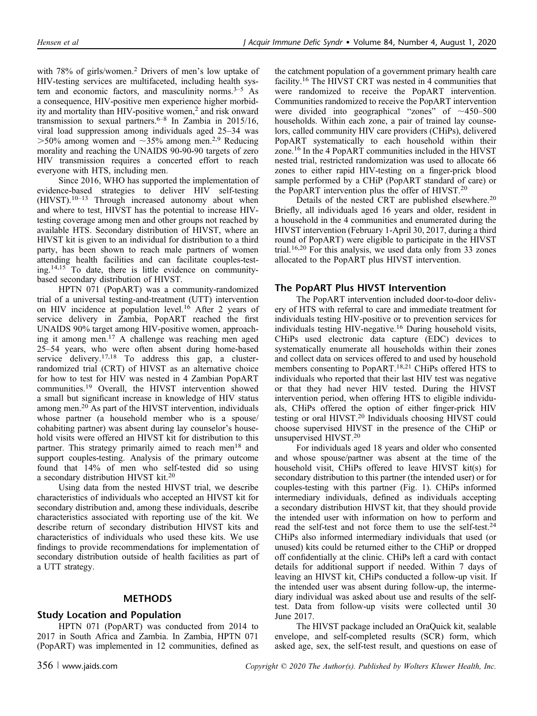with 78% of girls/women.<sup>2</sup> Drivers of men's low uptake of HIV-testing services are multifaceted, including health system and economic factors, and masculinity norms. $3-5$  As a consequence, HIV-positive men experience higher morbidity and mortality than HIV-positive women,<sup>2</sup> and risk onward transmission to sexual partners.<sup>6–8</sup> In Zambia in 2015/16, viral load suppression among individuals aged 25–34 was  $>50\%$  among women and  $\sim 35\%$  among men.<sup>2,9</sup> Reducing morality and reaching the UNAIDS 90-90-90 targets of zero HIV transmission requires a concerted effort to reach everyone with HTS, including men.

Since 2016, WHO has supported the implementation of evidence-based strategies to deliver HIV self-testing (HIVST).10–<sup>13</sup> Through increased autonomy about when and where to test, HIVST has the potential to increase HIVtesting coverage among men and other groups not reached by available HTS. Secondary distribution of HIVST, where an HIVST kit is given to an individual for distribution to a third party, has been shown to reach male partners of women attending health facilities and can facilitate couples-testing.14,15 To date, there is little evidence on communitybased secondary distribution of HIVST.

HPTN 071 (PopART) was a community-randomized trial of a universal testing-and-treatment (UTT) intervention on HIV incidence at population level.<sup>16</sup> After 2 years of service delivery in Zambia, PopART reached the first UNAIDS 90% target among HIV-positive women, approaching it among men.<sup>17</sup> A challenge was reaching men aged 25–54 years, who were often absent during home-based service delivery.<sup>17,18</sup> To address this gap, a clusterrandomized trial (CRT) of HIVST as an alternative choice for how to test for HIV was nested in 4 Zambian PopART communities.<sup>19</sup> Overall, the HIVST intervention showed a small but significant increase in knowledge of HIV status among men.<sup>20</sup> As part of the HIVST intervention, individuals whose partner (a household member who is a spouse/ cohabiting partner) was absent during lay counselor's household visits were offered an HIVST kit for distribution to this partner. This strategy primarily aimed to reach men<sup>18</sup> and support couples-testing. Analysis of the primary outcome found that 14% of men who self-tested did so using a secondary distribution HIVST kit.<sup>20</sup>

Using data from the nested HIVST trial, we describe characteristics of individuals who accepted an HIVST kit for secondary distribution and, among these individuals, describe characteristics associated with reporting use of the kit. We describe return of secondary distribution HIVST kits and characteristics of individuals who used these kits. We use findings to provide recommendations for implementation of secondary distribution outside of health facilities as part of a UTT strategy.

## **METHODS**

## Study Location and Population

HPTN 071 (PopART) was conducted from 2014 to 2017 in South Africa and Zambia. In Zambia, HPTN 071 (PopART) was implemented in 12 communities, defined as

the catchment population of a government primary health care facility.<sup>16</sup> The HIVST CRT was nested in 4 communities that were randomized to receive the PopART intervention. Communities randomized to receive the PopART intervention were divided into geographical "zones" of  $~1450-500$ households. Within each zone, a pair of trained lay counselors, called community HIV care providers (CHiPs), delivered PopART systematically to each household within their zone.<sup>16</sup> In the 4 PopART communities included in the HIVST nested trial, restricted randomization was used to allocate 66 zones to either rapid HIV-testing on a finger-prick blood sample performed by a CHiP (PopART standard of care) or the PopART intervention plus the offer of HIVST.<sup>20</sup>

Details of the nested CRT are published elsewhere.<sup>20</sup> Briefly, all individuals aged 16 years and older, resident in a household in the 4 communities and enumerated during the HIVST intervention (February 1-April 30, 2017, during a third round of PopART) were eligible to participate in the HIVST trial.<sup>16,20</sup> For this analysis, we used data only from 33 zones allocated to the PopART plus HIVST intervention.

## The PopART Plus HIVST Intervention

The PopART intervention included door-to-door delivery of HTS with referral to care and immediate treatment for individuals testing HIV-positive or to prevention services for individuals testing HIV-negative.<sup>16</sup> During household visits, CHiPs used electronic data capture (EDC) devices to systematically enumerate all households within their zones and collect data on services offered to and used by household members consenting to PopART.18,21 CHiPs offered HTS to individuals who reported that their last HIV test was negative or that they had never HIV tested. During the HIVST intervention period, when offering HTS to eligible individuals, CHiPs offered the option of either finger-prick HIV testing or oral HIVST.<sup>20</sup> Individuals choosing HIVST could choose supervised HIVST in the presence of the CHiP or unsupervised HIVST.<sup>20</sup>

For individuals aged 18 years and older who consented and whose spouse/partner was absent at the time of the household visit, CHiPs offered to leave HIVST kit(s) for secondary distribution to this partner (the intended user) or for couples-testing with this partner (Fig. 1). CHiPs informed intermediary individuals, defined as individuals accepting a secondary distribution HIVST kit, that they should provide the intended user with information on how to perform and read the self-test and not force them to use the self-test.<sup>24</sup> CHiPs also informed intermediary individuals that used (or unused) kits could be returned either to the CHiP or dropped off confidentially at the clinic. CHiPs left a card with contact details for additional support if needed. Within 7 days of leaving an HIVST kit, CHiPs conducted a follow-up visit. If the intended user was absent during follow-up, the intermediary individual was asked about use and results of the selftest. Data from follow-up visits were collected until 30 June 2017.

The HIVST package included an OraQuick kit, sealable envelope, and self-completed results (SCR) form, which asked age, sex, the self-test result, and questions on ease of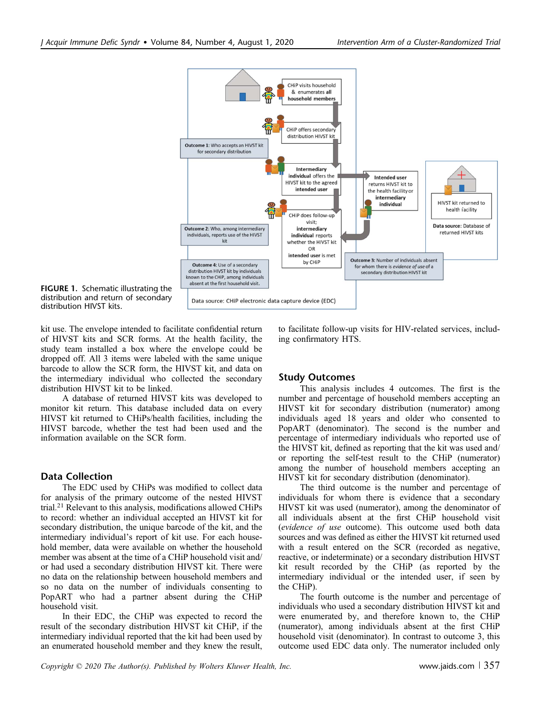

FIGURE 1. Schematic illustrating the distribution and return of secondary distribution HIVST kits.

kit use. The envelope intended to facilitate confidential return of HIVST kits and SCR forms. At the health facility, the study team installed a box where the envelope could be dropped off. All 3 items were labeled with the same unique barcode to allow the SCR form, the HIVST kit, and data on the intermediary individual who collected the secondary distribution HIVST kit to be linked.

A database of returned HIVST kits was developed to monitor kit return. This database included data on every HIVST kit returned to CHiPs/health facilities, including the HIVST barcode, whether the test had been used and the information available on the SCR form.

## Data Collection

The EDC used by CHiPs was modified to collect data for analysis of the primary outcome of the nested HIVST trial.<sup>21</sup> Relevant to this analysis, modifications allowed CHiPs to record: whether an individual accepted an HIVST kit for secondary distribution, the unique barcode of the kit, and the intermediary individual's report of kit use. For each household member, data were available on whether the household member was absent at the time of a CHiP household visit and/ or had used a secondary distribution HIVST kit. There were no data on the relationship between household members and so no data on the number of individuals consenting to PopART who had a partner absent during the CHiP household visit.

In their EDC, the CHiP was expected to record the result of the secondary distribution HIVST kit CHiP, if the intermediary individual reported that the kit had been used by an enumerated household member and they knew the result,

to facilitate follow-up visits for HIV-related services, including confirmatory HTS.

## Study Outcomes

This analysis includes 4 outcomes. The first is the number and percentage of household members accepting an HIVST kit for secondary distribution (numerator) among individuals aged 18 years and older who consented to PopART (denominator). The second is the number and percentage of intermediary individuals who reported use of the HIVST kit, defined as reporting that the kit was used and/ or reporting the self-test result to the CHiP (numerator) among the number of household members accepting an HIVST kit for secondary distribution (denominator).

The third outcome is the number and percentage of individuals for whom there is evidence that a secondary HIVST kit was used (numerator), among the denominator of all individuals absent at the first CHiP household visit (evidence of use outcome). This outcome used both data sources and was defined as either the HIVST kit returned used with a result entered on the SCR (recorded as negative, reactive, or indeterminate) or a secondary distribution HIVST kit result recorded by the CHiP (as reported by the intermediary individual or the intended user, if seen by the CHiP).

The fourth outcome is the number and percentage of individuals who used a secondary distribution HIVST kit and were enumerated by, and therefore known to, the CHiP (numerator), among individuals absent at the first CHiP household visit (denominator). In contrast to outcome 3, this outcome used EDC data only. The numerator included only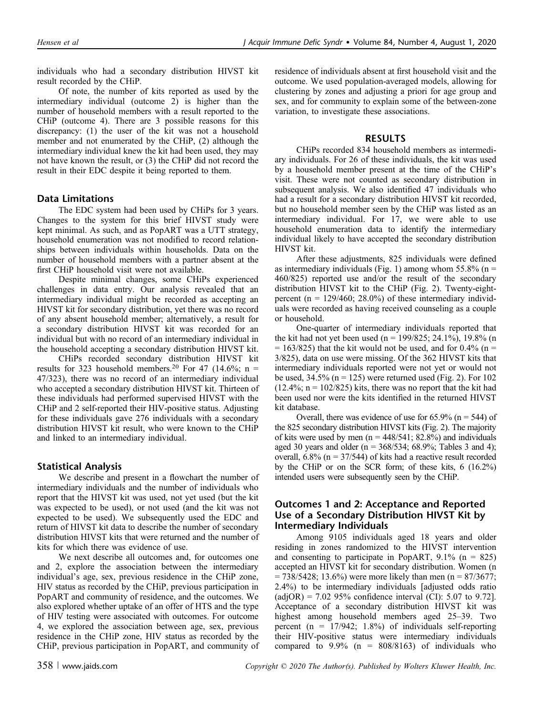individuals who had a secondary distribution HIVST kit result recorded by the CHiP.

Of note, the number of kits reported as used by the intermediary individual (outcome 2) is higher than the number of household members with a result reported to the CHiP (outcome 4). There are 3 possible reasons for this discrepancy: (1) the user of the kit was not a household member and not enumerated by the CHiP, (2) although the intermediary individual knew the kit had been used, they may not have known the result, or (3) the CHiP did not record the result in their EDC despite it being reported to them.

## Data Limitations

The EDC system had been used by CHiPs for 3 years. Changes to the system for this brief HIVST study were kept minimal. As such, and as PopART was a UTT strategy, household enumeration was not modified to record relationships between individuals within households. Data on the number of household members with a partner absent at the first CHiP household visit were not available.

Despite minimal changes, some CHiPs experienced challenges in data entry. Our analysis revealed that an intermediary individual might be recorded as accepting an HIVST kit for secondary distribution, yet there was no record of any absent household member; alternatively, a result for a secondary distribution HIVST kit was recorded for an individual but with no record of an intermediary individual in the household accepting a secondary distribution HIVST kit.

CHiPs recorded secondary distribution HIVST kit results for 323 household members.<sup>20</sup> For 47 (14.6%; n = 47/323), there was no record of an intermediary individual who accepted a secondary distribution HIVST kit. Thirteen of these individuals had performed supervised HIVST with the CHiP and 2 self-reported their HIV-positive status. Adjusting for these individuals gave 276 individuals with a secondary distribution HIVST kit result, who were known to the CHiP and linked to an intermediary individual.

## Statistical Analysis

We describe and present in a flowchart the number of intermediary individuals and the number of individuals who report that the HIVST kit was used, not yet used (but the kit was expected to be used), or not used (and the kit was not expected to be used). We subsequently used the EDC and return of HIVST kit data to describe the number of secondary distribution HIVST kits that were returned and the number of kits for which there was evidence of use.

We next describe all outcomes and, for outcomes one and 2, explore the association between the intermediary individual's age, sex, previous residence in the CHiP zone, HIV status as recorded by the CHiP, previous participation in PopART and community of residence, and the outcomes. We also explored whether uptake of an offer of HTS and the type of HIV testing were associated with outcomes. For outcome 4, we explored the association between age, sex, previous residence in the CHiP zone, HIV status as recorded by the CHiP, previous participation in PopART, and community of residence of individuals absent at first household visit and the outcome. We used population-averaged models, allowing for clustering by zones and adjusting a priori for age group and sex, and for community to explain some of the between-zone variation, to investigate these associations.

### RESULTS

CHiPs recorded 834 household members as intermediary individuals. For 26 of these individuals, the kit was used by a household member present at the time of the CHiP's visit. These were not counted as secondary distribution in subsequent analysis. We also identified 47 individuals who had a result for a secondary distribution HIVST kit recorded, but no household member seen by the CHiP was listed as an intermediary individual. For 17, we were able to use household enumeration data to identify the intermediary individual likely to have accepted the secondary distribution HIVST kit.

After these adjustments, 825 individuals were defined as intermediary individuals (Fig. 1) among whom 55.8% ( $n =$ 460/825) reported use and/or the result of the secondary distribution HIVST kit to the CHiP (Fig. 2). Twenty-eightpercent ( $n = 129/460$ ; 28.0%) of these intermediary individuals were recorded as having received counseling as a couple or household.

One-quarter of intermediary individuals reported that the kit had not yet been used (n =  $199/825$ ; 24.1%), 19.8% (n  $= 163/825$ ) that the kit would not be used, and for 0.4% (n = 3/825), data on use were missing. Of the 362 HIVST kits that intermediary individuals reported were not yet or would not be used,  $34.5\%$  (n = 125) were returned used (Fig. 2). For 102  $(12.4\%; n = 102/825)$  kits, there was no report that the kit had been used nor were the kits identified in the returned HIVST kit database.

Overall, there was evidence of use for  $65.9\%$  (n = 544) of the 825 secondary distribution HIVST kits (Fig. 2). The majority of kits were used by men ( $n = 448/541$ ; 82.8%) and individuals aged 30 years and older ( $n = 368/534$ ; 68.9%; Tables 3 and 4); overall,  $6.8\%$  (n = 37/544) of kits had a reactive result recorded by the CHiP or on the SCR form; of these kits, 6 (16.2%) intended users were subsequently seen by the CHiP.

## Outcomes 1 and 2: Acceptance and Reported Use of a Secondary Distribution HIVST Kit by Intermediary Individuals

Among 9105 individuals aged 18 years and older residing in zones randomized to the HIVST intervention and consenting to participate in PopART,  $9.1\%$  (n = 825) accepted an HIVST kit for secondary distribution. Women (n  $= 738/5428$ ; 13.6%) were more likely than men (n = 87/3677; 2.4%) to be intermediary individuals [adjusted odds ratio  $\text{(adjOR)} = 7.02\,95\%$  confidence interval (CI): 5.07 to 9.72]. Acceptance of a secondary distribution HIVST kit was highest among household members aged 25–39. Two percent  $(n = 17/942; 1.8%)$  of individuals self-reporting their HIV-positive status were intermediary individuals compared to  $9.9\%$  (n =  $808/8163$ ) of individuals who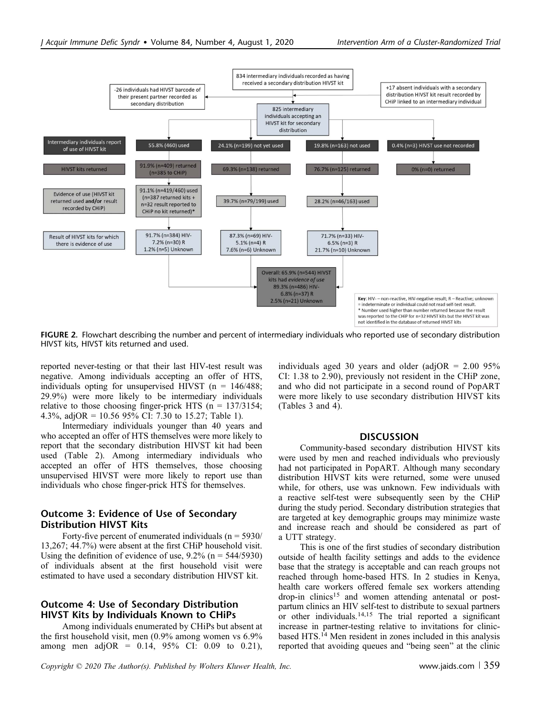

FIGURE 2. Flowchart describing the number and percent of intermediary individuals who reported use of secondary distribution HIVST kits, HIVST kits returned and used.

reported never-testing or that their last HIV-test result was negative. Among individuals accepting an offer of HTS, individuals opting for unsupervised HIVST ( $n = 146/488$ ; 29.9%) were more likely to be intermediary individuals relative to those choosing finger-prick HTS ( $n = 137/3154$ ; 4.3%, adjOR =  $10.56$  95% CI: 7.30 to 15.27; Table 1).

Intermediary individuals younger than 40 years and who accepted an offer of HTS themselves were more likely to report that the secondary distribution HIVST kit had been used (Table 2). Among intermediary individuals who accepted an offer of HTS themselves, those choosing unsupervised HIVST were more likely to report use than individuals who chose finger-prick HTS for themselves.

# Outcome 3: Evidence of Use of Secondary Distribution HIVST Kits

Forty-five percent of enumerated individuals ( $n = 5930/$ 13,267; 44.7%) were absent at the first CHiP household visit. Using the definition of evidence of use,  $9.2\%$  (n = 544/5930) of individuals absent at the first household visit were estimated to have used a secondary distribution HIVST kit.

## Outcome 4: Use of Secondary Distribution HIVST Kits by Individuals Known to CHiPs

Among individuals enumerated by CHiPs but absent at the first household visit, men (0.9% among women vs 6.9% among men adjOR =  $0.14$ , 95% CI: 0.09 to 0.21), individuals aged 30 years and older (adjOR =  $2.00$  95% CI: 1.38 to 2.90), previously not resident in the CHiP zone, and who did not participate in a second round of PopART were more likely to use secondary distribution HIVST kits (Tables 3 and 4).

### **DISCUSSION**

Community-based secondary distribution HIVST kits were used by men and reached individuals who previously had not participated in PopART. Although many secondary distribution HIVST kits were returned, some were unused while, for others, use was unknown. Few individuals with a reactive self-test were subsequently seen by the CHiP during the study period. Secondary distribution strategies that are targeted at key demographic groups may minimize waste and increase reach and should be considered as part of a UTT strategy.

This is one of the first studies of secondary distribution outside of health facility settings and adds to the evidence base that the strategy is acceptable and can reach groups not reached through home-based HTS. In 2 studies in Kenya, health care workers offered female sex workers attending drop-in clinics<sup>15</sup> and women attending antenatal or postpartum clinics an HIV self-test to distribute to sexual partners or other individuals.<sup>14,15</sup> The trial reported a significant increase in partner-testing relative to invitations for clinicbased HTS.<sup>14</sup> Men resident in zones included in this analysis reported that avoiding queues and "being seen" at the clinic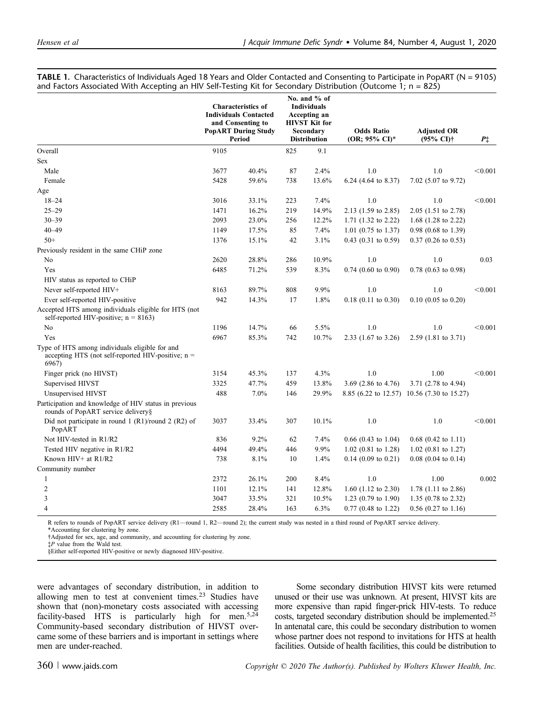|  |  |  | TABLE 1. Characteristics of Individuals Aged 18 Years and Older Contacted and Consenting to Participate in PopART (N = 9105) |  |
|--|--|--|------------------------------------------------------------------------------------------------------------------------------|--|
|  |  |  | and Factors Associated With Accepting an HIV Self-Testing Kit for Secondary Distribution (Outcome 1; n = 825)                |  |

|                                                                                                                 | <b>Characteristics of</b><br><b>Individuals Contacted</b><br>and Consenting to<br><b>PopART During Study</b><br>Period |       | No. and % of<br><b>Individuals</b><br>Accepting an<br><b>HIVST Kit for</b><br>Secondary<br><b>Distribution</b> |       | <b>Odds Ratio</b><br>(OR; 95% CI)* | <b>Adjusted OR</b><br>(95% CI)†            | $P^+$   |
|-----------------------------------------------------------------------------------------------------------------|------------------------------------------------------------------------------------------------------------------------|-------|----------------------------------------------------------------------------------------------------------------|-------|------------------------------------|--------------------------------------------|---------|
| Overall                                                                                                         | 9105                                                                                                                   |       | 825                                                                                                            | 9.1   |                                    |                                            |         |
| Sex                                                                                                             |                                                                                                                        |       |                                                                                                                |       |                                    |                                            |         |
| Male                                                                                                            | 3677                                                                                                                   | 40.4% | 87                                                                                                             | 2.4%  | 1.0                                | 1.0                                        | < 0.001 |
| Female                                                                                                          | 5428                                                                                                                   | 59.6% | 738                                                                                                            | 13.6% | 6.24 (4.64 to 8.37)                | 7.02 (5.07 to 9.72)                        |         |
| Age                                                                                                             |                                                                                                                        |       |                                                                                                                |       |                                    |                                            |         |
| $18 - 24$                                                                                                       | 3016                                                                                                                   | 33.1% | 223                                                                                                            | 7.4%  | 1.0                                | 1.0                                        | < 0.001 |
| $25 - 29$                                                                                                       | 1471                                                                                                                   | 16.2% | 219                                                                                                            | 14.9% | 2.13 (1.59 to 2.85)                | $2.05$ (1.51 to 2.78)                      |         |
| $30 - 39$                                                                                                       | 2093                                                                                                                   | 23.0% | 256                                                                                                            | 12.2% | 1.71 $(1.32 \text{ to } 2.22)$     | 1.68 $(1.28 \text{ to } 2.22)$             |         |
| $40 - 49$                                                                                                       | 1149                                                                                                                   | 17.5% | 85                                                                                                             | 7.4%  | 1.01 $(0.75 \text{ to } 1.37)$     | $0.98$ (0.68 to 1.39)                      |         |
| $50+$                                                                                                           | 1376                                                                                                                   | 15.1% | 42                                                                                                             | 3.1%  | $0.43$ (0.31 to 0.59)              | $0.37$ (0.26 to 0.53)                      |         |
| Previously resident in the same CHiP zone                                                                       |                                                                                                                        |       |                                                                                                                |       |                                    |                                            |         |
| No                                                                                                              | 2620                                                                                                                   | 28.8% | 286                                                                                                            | 10.9% | 1.0                                | 1.0                                        | 0.03    |
| Yes                                                                                                             | 6485                                                                                                                   | 71.2% | 539                                                                                                            | 8.3%  | $0.74$ $(0.60$ to $0.90)$          | $0.78$ (0.63 to 0.98)                      |         |
| HIV status as reported to CHiP                                                                                  |                                                                                                                        |       |                                                                                                                |       |                                    |                                            |         |
| Never self-reported HIV+                                                                                        | 8163                                                                                                                   | 89.7% | 808                                                                                                            | 9.9%  | 1.0                                | 1.0                                        | < 0.001 |
| Ever self-reported HIV-positive                                                                                 | 942                                                                                                                    | 14.3% | 17                                                                                                             | 1.8%  | $0.18$ (0.11 to 0.30)              | $0.10$ (0.05 to 0.20)                      |         |
| Accepted HTS among individuals eligible for HTS (not<br>self-reported HIV-positive; $n = 8163$ )                |                                                                                                                        |       |                                                                                                                |       |                                    |                                            |         |
| No                                                                                                              | 1196                                                                                                                   | 14.7% | 66                                                                                                             | 5.5%  | 1.0                                | 1.0                                        | < 0.001 |
| Yes                                                                                                             | 6967                                                                                                                   | 85.3% | 742                                                                                                            | 10.7% | 2.33 (1.67 to 3.26)                | 2.59 (1.81 to 3.71)                        |         |
| Type of HTS among individuals eligible for and<br>accepting HTS (not self-reported HIV-positive; $n =$<br>6967) |                                                                                                                        |       |                                                                                                                |       |                                    |                                            |         |
| Finger prick (no HIVST)                                                                                         | 3154                                                                                                                   | 45.3% | 137                                                                                                            | 4.3%  | 1.0                                | 1.00                                       | < 0.001 |
| Supervised HIVST                                                                                                | 3325                                                                                                                   | 47.7% | 459                                                                                                            | 13.8% | 3.69 (2.86 to 4.76)                | 3.71 (2.78 to 4.94)                        |         |
| Unsupervised HIVST                                                                                              | 488                                                                                                                    | 7.0%  | 146                                                                                                            | 29.9% |                                    | 8.85 (6.22 to 12.57) 10.56 (7.30 to 15.27) |         |
| Participation and knowledge of HIV status in previous<br>rounds of PopART service delivery§                     |                                                                                                                        |       |                                                                                                                |       |                                    |                                            |         |
| Did not participate in round 1 (R1)/round 2 (R2) of<br>PopART                                                   | 3037                                                                                                                   | 33.4% | 307                                                                                                            | 10.1% | 1.0                                | 1.0                                        | < 0.001 |
| Not HIV-tested in R1/R2                                                                                         | 836                                                                                                                    | 9.2%  | 62                                                                                                             | 7.4%  | $0.66$ (0.43 to 1.04)              | $0.68$ (0.42 to 1.11)                      |         |
| Tested HIV negative in R1/R2                                                                                    | 4494                                                                                                                   | 49.4% | 446                                                                                                            | 9.9%  | $1.02$ (0.81 to 1.28)              | $1.02$ (0.81 to 1.27)                      |         |
| Known HIV+ at R1/R2                                                                                             | 738                                                                                                                    | 8.1%  | 10                                                                                                             | 1.4%  | $0.14$ (0.09 to 0.21)              | $0.08$ (0.04 to 0.14)                      |         |
| Community number                                                                                                |                                                                                                                        |       |                                                                                                                |       |                                    |                                            |         |
| 1                                                                                                               | 2372                                                                                                                   | 26.1% | 200                                                                                                            | 8.4%  | 1.0                                | 1.00                                       | 0.002   |
| $\overline{c}$                                                                                                  | 1101                                                                                                                   | 12.1% | 141                                                                                                            | 12.8% | 1.60 $(1.12 \text{ to } 2.30)$     | 1.78 $(1.11 \text{ to } 2.86)$             |         |
| 3                                                                                                               | 3047                                                                                                                   | 33.5% | 321                                                                                                            | 10.5% | 1.23 $(0.79 \text{ to } 1.90)$     | 1.35 $(0.78 \text{ to } 2.32)$             |         |
| $\overline{4}$                                                                                                  | 2585                                                                                                                   | 28.4% | 163                                                                                                            | 6.3%  | $0.77$ (0.48 to 1.22)              | $0.56$ (0.27 to 1.16)                      |         |

R refers to rounds of PopART service delivery (R1—round 1, R2—round 2); the current study was nested in a third round of PopART service delivery. \*Accounting for clustering by zone.

†Adjusted for sex, age, and community, and accounting for clustering by zone.

‡P value from the Wald test.

§Either self-reported HIV-positive or newly diagnosed HIV-positive.

were advantages of secondary distribution, in addition to allowing men to test at convenient times.<sup>23</sup> Studies have shown that (non)-monetary costs associated with accessing facility-based HTS is particularly high for men.<sup>5,24</sup> Community-based secondary distribution of HIVST overcame some of these barriers and is important in settings where men are under-reached.

Some secondary distribution HIVST kits were returned unused or their use was unknown. At present, HIVST kits are more expensive than rapid finger-prick HIV-tests. To reduce costs, targeted secondary distribution should be implemented.25 In antenatal care, this could be secondary distribution to women whose partner does not respond to invitations for HTS at health facilities. Outside of health facilities, this could be distribution to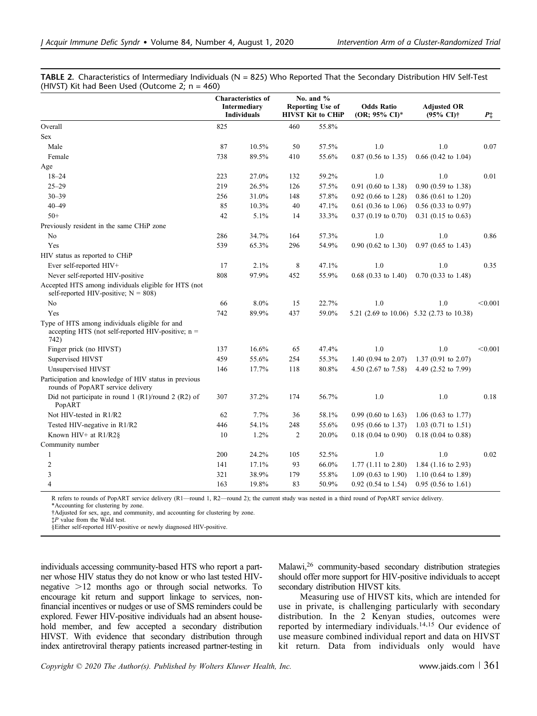TABLE 2. Characteristics of Intermediary Individuals ( $N = 825$ ) Who Reported That the Secondary Distribution HIV Self-Test (HIVST) Kit had Been Used (Outcome 2;  $n = 460$ )

|                                                                                                                | <b>Characteristics of</b><br>Intermediary<br><b>Individuals</b> |       | No. and $%$<br>Reporting Use of<br><b>HIVST Kit to CHiP</b> |       | <b>Odds Ratio</b><br>(OR; 95% CI)* | <b>Adjusted OR</b><br>$(95\% \text{ CI})\dagger$ | $P^+$   |
|----------------------------------------------------------------------------------------------------------------|-----------------------------------------------------------------|-------|-------------------------------------------------------------|-------|------------------------------------|--------------------------------------------------|---------|
| Overall                                                                                                        | 825                                                             |       | 460                                                         | 55.8% |                                    |                                                  |         |
| <b>Sex</b>                                                                                                     |                                                                 |       |                                                             |       |                                    |                                                  |         |
| Male                                                                                                           | 87                                                              | 10.5% | 50                                                          | 57.5% | 1.0                                | 1.0                                              | 0.07    |
| Female                                                                                                         | 738                                                             | 89.5% | 410                                                         | 55.6% | $0.87$ (0.56 to 1.35)              | $0.66$ (0.42 to 1.04)                            |         |
| Age                                                                                                            |                                                                 |       |                                                             |       |                                    |                                                  |         |
| $18 - 24$                                                                                                      | 223                                                             | 27.0% | 132                                                         | 59.2% | 1.0                                | 1.0                                              | 0.01    |
| $25 - 29$                                                                                                      | 219                                                             | 26.5% | 126                                                         | 57.5% | $0.91$ (0.60 to 1.38)              | $0.90$ $(0.59$ to $1.38)$                        |         |
| $30 - 39$                                                                                                      | 256                                                             | 31.0% | 148                                                         | 57.8% | $0.92$ (0.66 to 1.28)              | $0.86$ (0.61 to 1.20)                            |         |
| $40 - 49$                                                                                                      | 85                                                              | 10.3% | 40                                                          | 47.1% | $0.61$ (0.36 to 1.06)              | $0.56$ (0.33 to 0.97)                            |         |
| $50+$                                                                                                          | 42                                                              | 5.1%  | 14                                                          | 33.3% | $0.37$ (0.19 to 0.70)              | $0.31$ (0.15 to 0.63)                            |         |
| Previously resident in the same CHiP zone                                                                      |                                                                 |       |                                                             |       |                                    |                                                  |         |
| No                                                                                                             | 286                                                             | 34.7% | 164                                                         | 57.3% | 1.0                                | 1.0                                              | 0.86    |
| Yes                                                                                                            | 539                                                             | 65.3% | 296                                                         | 54.9% | $0.90$ (0.62 to 1.30)              | $0.97$ (0.65 to 1.43)                            |         |
| HIV status as reported to CHiP                                                                                 |                                                                 |       |                                                             |       |                                    |                                                  |         |
| Ever self-reported HIV+                                                                                        | 17                                                              | 2.1%  | 8                                                           | 47.1% | 1.0                                | 1.0                                              | 0.35    |
| Never self-reported HIV-positive                                                                               | 808                                                             | 97.9% | 452                                                         | 55.9% | $0.68$ (0.33 to 1.40)              | $0.70$ $(0.33$ to $1.48)$                        |         |
| Accepted HTS among individuals eligible for HTS (not<br>self-reported HIV-positive; $N = 808$ )                |                                                                 |       |                                                             |       |                                    |                                                  |         |
| No                                                                                                             | 66                                                              | 8.0%  | 15                                                          | 22.7% | 1.0                                | 1.0                                              | < 0.001 |
| Yes                                                                                                            | 742                                                             | 89.9% | 437                                                         | 59.0% |                                    | 5.21 (2.69 to 10.06) 5.32 (2.73 to 10.38)        |         |
| Type of HTS among individuals eligible for and<br>accepting HTS (not self-reported HIV-positive; $n =$<br>742) |                                                                 |       |                                                             |       |                                    |                                                  |         |
| Finger prick (no HIVST)                                                                                        | 137                                                             | 16.6% | 65                                                          | 47.4% | 1.0                                | 1.0                                              | < 0.001 |
| Supervised HIVST                                                                                               | 459                                                             | 55.6% | 254                                                         | 55.3% | 1.40 $(0.94 \text{ to } 2.07)$     | $1.37(0.91)$ to $2.07$ )                         |         |
| Unsupervised HIVST                                                                                             | 146                                                             | 17.7% | 118                                                         | 80.8% | 4.50 (2.67 to 7.58)                | 4.49 (2.52 to 7.99)                              |         |
| Participation and knowledge of HIV status in previous<br>rounds of PopART service delivery                     |                                                                 |       |                                                             |       |                                    |                                                  |         |
| Did not participate in round 1 $(R1)$ /round 2 $(R2)$ of<br>PopART                                             | 307                                                             | 37.2% | 174                                                         | 56.7% | 1.0                                | 1.0                                              | 0.18    |
| Not HIV-tested in R1/R2                                                                                        | 62                                                              | 7.7%  | 36                                                          | 58.1% | $0.99$ (0.60 to 1.63)              | $1.06$ (0.63 to 1.77)                            |         |
| Tested HIV-negative in R1/R2                                                                                   | 446                                                             | 54.1% | 248                                                         | 55.6% | $0.95$ (0.66 to 1.37)              | $1.03$ (0.71 to 1.51)                            |         |
| Known HIV+ at R1/R2§                                                                                           | 10                                                              | 1.2%  | $\overline{c}$                                              | 20.0% | $0.18$ (0.04 to 0.90)              | $0.18$ (0.04 to 0.88)                            |         |
| Community number                                                                                               |                                                                 |       |                                                             |       |                                    |                                                  |         |
| 1                                                                                                              | 200                                                             | 24.2% | 105                                                         | 52.5% | 1.0                                | 1.0                                              | 0.02    |
| $\overline{c}$                                                                                                 | 141                                                             | 17.1% | 93                                                          | 66.0% | $1.77$ (1.11 to 2.80)              | 1.84 $(1.16 \text{ to } 2.93)$                   |         |
| 3                                                                                                              | 321                                                             | 38.9% | 179                                                         | 55.8% | 1.09 $(0.63 \text{ to } 1.90)$     | 1.10 $(0.64 \text{ to } 1.89)$                   |         |
| 4                                                                                                              | 163                                                             | 19.8% | 83                                                          | 50.9% | $0.92$ (0.54 to 1.54)              | $0.95(0.56 \text{ to } 1.61)$                    |         |

R refers to rounds of PopART service delivery (R1—round 1, R2—round 2); the current study was nested in a third round of PopART service delivery. \*Accounting for clustering by zone.

†Adjusted for sex, age, and community, and accounting for clustering by zone.

‡P value from the Wald test.

§Either self-reported HIV-positive or newly diagnosed HIV-positive.

individuals accessing community-based HTS who report a partner whose HIV status they do not know or who last tested HIVnegative  $>12$  months ago or through social networks. To encourage kit return and support linkage to services, nonfinancial incentives or nudges or use of SMS reminders could be explored. Fewer HIV-positive individuals had an absent household member, and few accepted a secondary distribution HIVST. With evidence that secondary distribution through index antiretroviral therapy patients increased partner-testing in Malawi,<sup>26</sup> community-based secondary distribution strategies should offer more support for HIV-positive individuals to accept secondary distribution HIVST kits.

Measuring use of HIVST kits, which are intended for use in private, is challenging particularly with secondary distribution. In the 2 Kenyan studies, outcomes were reported by intermediary individuals.14,15 Our evidence of use measure combined individual report and data on HIVST kit return. Data from individuals only would have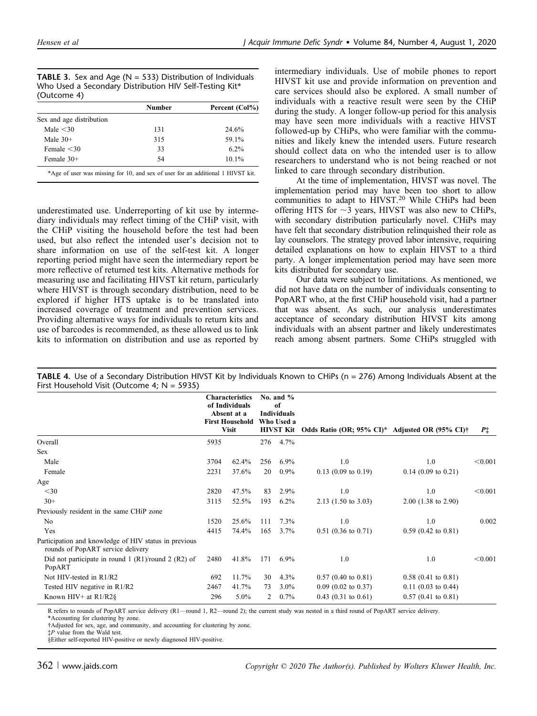**TABLE 3.** Sex and Age ( $N = 533$ ) Distribution of Individuals Who Used a Secondary Distribution HIV Self-Testing Kit\* (Outcome 4)

|                                                                                 | <b>Number</b> | Percent (Col%) |
|---------------------------------------------------------------------------------|---------------|----------------|
| Sex and age distribution                                                        |               |                |
| Male $\leq 30$                                                                  | 131           | 24.6%          |
| Male $30+$                                                                      | 315           | 59.1%          |
| Female $<$ 30                                                                   | 33            | $6.2\%$        |
| Female 30+                                                                      | 54            | $10.1\%$       |
| *Age of user was missing for 10, and sex of user for an additional 1 HIVST kit. |               |                |

underestimated use. Underreporting of kit use by intermediary individuals may reflect timing of the CHiP visit, with the CHiP visiting the household before the test had been used, but also reflect the intended user's decision not to share information on use of the self-test kit. A longer reporting period might have seen the intermediary report be more reflective of returned test kits. Alternative methods for measuring use and facilitating HIVST kit return, particularly where HIVST is through secondary distribution, need to be explored if higher HTS uptake is to be translated into increased coverage of treatment and prevention services. Providing alternative ways for individuals to return kits and use of barcodes is recommended, as these allowed us to link kits to information on distribution and use as reported by

intermediary individuals. Use of mobile phones to report HIVST kit use and provide information on prevention and care services should also be explored. A small number of individuals with a reactive result were seen by the CHiP during the study. A longer follow-up period for this analysis may have seen more individuals with a reactive HIVST followed-up by CHiPs, who were familiar with the communities and likely knew the intended users. Future research should collect data on who the intended user is to allow researchers to understand who is not being reached or not linked to care through secondary distribution.

At the time of implementation, HIVST was novel. The implementation period may have been too short to allow communities to adapt to HIVST.<sup>20</sup> While CHiPs had been offering HTS for  $\sim$ 3 years, HIVST was also new to CHiPs, with secondary distribution particularly novel. CHiPs may have felt that secondary distribution relinquished their role as lay counselors. The strategy proved labor intensive, requiring detailed explanations on how to explain HIVST to a third party. A longer implementation period may have seen more kits distributed for secondary use.

Our data were subject to limitations. As mentioned, we did not have data on the number of individuals consenting to PopART who, at the first CHiP household visit, had a partner that was absent. As such, our analysis underestimates acceptance of secondary distribution HIVST kits among individuals with an absent partner and likely underestimates reach among absent partners. Some CHiPs struggled with

|                                                                                            |      | <b>Characteristics</b><br>of Individuals<br>Absent at a<br><b>First Household</b><br><b>Visit</b> |     | No. and $%$<br>of<br><b>Individuals</b><br>Who Used a<br><b>HIVST Kit</b> | Odds Ratio (OR; 95% CI)* Adjusted OR (95% CI)† |                           | $P\ddagger$ |
|--------------------------------------------------------------------------------------------|------|---------------------------------------------------------------------------------------------------|-----|---------------------------------------------------------------------------|------------------------------------------------|---------------------------|-------------|
| Overall                                                                                    | 5935 |                                                                                                   | 276 | 4.7%                                                                      |                                                |                           |             |
| Sex                                                                                        |      |                                                                                                   |     |                                                                           |                                                |                           |             |
| Male                                                                                       | 3704 | 62.4%                                                                                             | 256 | $6.9\%$                                                                   | 1.0                                            | 1.0                       | < 0.001     |
| Female                                                                                     | 2231 | 37.6%                                                                                             | 20  | $0.9\%$                                                                   | $0.13$ (0.09 to 0.19)                          | $0.14$ (0.09 to 0.21)     |             |
| Age                                                                                        |      |                                                                                                   |     |                                                                           |                                                |                           |             |
| $<$ 30                                                                                     | 2820 | 47.5%                                                                                             | 83  | 2.9%                                                                      | 1.0                                            | 1.0                       | < 0.001     |
| $30+$                                                                                      | 3115 | 52.5%                                                                                             | 193 | $6.2\%$                                                                   | $2.13$ (1.50 to 3.03)                          | $2.00$ (1.38 to 2.90)     |             |
| Previously resident in the same CHiP zone                                                  |      |                                                                                                   |     |                                                                           |                                                |                           |             |
| No                                                                                         | 1520 | 25.6%                                                                                             | 111 | 7.3%                                                                      | 1.0                                            | 1.0                       | 0.002       |
| Yes                                                                                        | 4415 | 74.4%                                                                                             | 165 | $3.7\%$                                                                   | $0.51$ (0.36 to 0.71)                          | $0.59$ $(0.42$ to $0.81)$ |             |
| Participation and knowledge of HIV status in previous<br>rounds of PopART service delivery |      |                                                                                                   |     |                                                                           |                                                |                           |             |
| Did not participate in round 1 $(R1)$ /round 2 $(R2)$ of<br>PopART                         | 2480 | 41.8%                                                                                             | 171 | $6.9\%$                                                                   | 1.0                                            | 1.0                       | < 0.001     |
| Not HIV-tested in R1/R2                                                                    | 692  | 11.7%                                                                                             | 30  | $4.3\%$                                                                   | $0.57$ (0.40 to 0.81)                          | $0.58$ (0.41 to 0.81)     |             |
| Tested HIV negative in R1/R2                                                               | 2467 | 41.7%                                                                                             | 73  | $3.0\%$                                                                   | $0.09$ (0.02 to 0.37)                          | $0.11$ (0.03 to 0.44)     |             |
| Known HIV+ at $R1/R2$ §                                                                    |      | $5.0\%$                                                                                           | 2   | 0.7%                                                                      | $0.43$ (0.31 to 0.61)                          | $0.57$ (0.41 to 0.81)     |             |

TABLE 4. Use of a Secondary Distribution HIVST Kit by Individuals Known to CHiPs (n = 276) Among Individuals Absent at the First Household Visit (Outcome 4; N = 5935)

R refers to rounds of PopART service delivery (R1—round 1, R2—round 2); the current study was nested in a third round of PopART service delivery.

\*Accounting for clustering by zone.

†Adjusted for sex, age, and community, and accounting for clustering by zone.

§Either self-reported HIV-positive or newly diagnosed HIV-positive.

<sup>‡</sup>P value from the Wald test.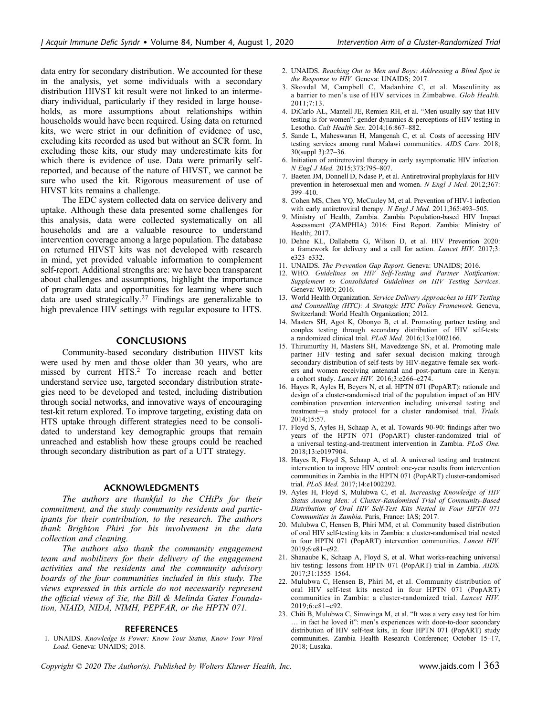data entry for secondary distribution. We accounted for these in the analysis, yet some individuals with a secondary distribution HIVST kit result were not linked to an intermediary individual, particularly if they resided in large households, as more assumptions about relationships within households would have been required. Using data on returned kits, we were strict in our definition of evidence of use, excluding kits recorded as used but without an SCR form. In excluding these kits, our study may underestimate kits for which there is evidence of use. Data were primarily selfreported, and because of the nature of HIVST, we cannot be sure who used the kit. Rigorous measurement of use of HIVST kits remains a challenge.

The EDC system collected data on service delivery and uptake. Although these data presented some challenges for this analysis, data were collected systematically on all households and are a valuable resource to understand intervention coverage among a large population. The database on returned HIVST kits was not developed with research in mind, yet provided valuable information to complement self-report. Additional strengths are: we have been transparent about challenges and assumptions, highlight the importance of program data and opportunities for learning where such data are used strategically.<sup>27</sup> Findings are generalizable to high prevalence HIV settings with regular exposure to HTS.

#### **CONCLUSIONS**

Community-based secondary distribution HIVST kits were used by men and those older than 30 years, who are missed by current HTS.2 To increase reach and better understand service use, targeted secondary distribution strategies need to be developed and tested, including distribution through social networks, and innovative ways of encouraging test-kit return explored. To improve targeting, existing data on HTS uptake through different strategies need to be consolidated to understand key demographic groups that remain unreached and establish how these groups could be reached through secondary distribution as part of a UTT strategy.

#### ACKNOWLEDGMENTS

The authors are thankful to the CHiPs for their commitment, and the study community residents and participants for their contribution, to the research. The authors thank Brighton Phiri for his involvement in the data collection and cleaning.

The authors also thank the community engagement team and mobilizers for their delivery of the engagement activities and the residents and the community advisory boards of the four communities included in this study. The views expressed in this article do not necessarily represent the official views of 3ie, the Bill & Melinda Gates Foundation, NIAID, NIDA, NIMH, PEPFAR, or the HPTN 071.

#### REFERENCES

1. UNAIDS. Knowledge Is Power: Know Your Status, Know Your Viral Load. Geneva: UNAIDS; 2018.

- 2. UNAIDS. Reaching Out to Men and Boys: Addressing a Blind Spot in the Response to HIV. Geneva: UNAIDS; 2017.
- 3. Skovdal M, Campbell C, Madanhire C, et al. Masculinity as a barrier to men's use of HIV services in Zimbabwe. Glob Health.  $2011 \cdot 7 \cdot 13$
- 4. DiCarlo AL, Mantell JE, Remien RH, et al. "Men usually say that HIV testing is for women": gender dynamics & perceptions of HIV testing in Lesotho. Cult Health Sex. 2014;16:867–882.
- 5. Sande L, Maheswaran H, Mangenah C, et al. Costs of accessing HIV testing services among rural Malawi communities. AIDS Care. 2018; 30(suppl 3):27–36.
- 6. Initiation of antiretroviral therapy in early asymptomatic HIV infection. N Engl J Med. 2015;373:795–807.
- 7. Baeten JM, Donnell D, Ndase P, et al. Antiretroviral prophylaxis for HIV prevention in heterosexual men and women. N Engl J Med. 2012;367: 399–410.
- 8. Cohen MS, Chen YQ, McCauley M, et al. Prevention of HIV-1 infection with early antiretroviral therapy. N Engl J Med. 2011;365:493–505.
- 9. Ministry of Health, Zambia. Zambia Population-based HIV Impact Assessment (ZAMPHIA) 2016: First Report. Zambia: Ministry of Health; 2017.
- 10. Dehne KL, Dallabetta G, Wilson D, et al. HIV Prevention 2020: a framework for delivery and a call for action. Lancet HIV. 2017;3: e323–e332.
- 11. UNAIDS. The Prevention Gap Report. Geneva: UNAIDS; 2016.
- 12. WHO. Guidelines on HIV Self-Testing and Partner Notification: Supplement to Consolidated Guidelines on HIV Testing Services. Geneva: WHO; 2016.
- 13. World Health Organization. Service Delivery Approaches to HIV Testing and Counselling (HTC): A Strategic HTC Policy Framework. Geneva, Switzerland: World Health Organization; 2012.
- 14. Masters SH, Agot K, Obonyo B, et al. Promoting partner testing and couples testing through secondary distribution of HIV self-tests: a randomized clinical trial. PLoS Med. 2016;13:e1002166.
- 15. Thirumurthy H, Masters SH, Mavedzenge SN, et al. Promoting male partner HIV testing and safer sexual decision making through secondary distribution of self-tests by HIV-negative female sex workers and women receiving antenatal and post-partum care in Kenya: a cohort study. Lancet HIV. 2016;3:e266–e274.
- 16. Hayes R, Ayles H, Beyers N, et al. HPTN 071 (PopART): rationale and design of a cluster-randomised trial of the population impact of an HIV combination prevention intervention including universal testing and treatment—a study protocol for a cluster randomised trial. Trials. 2014;15:57.
- 17. Floyd S, Ayles H, Schaap A, et al. Towards 90-90: findings after two years of the HPTN 071 (PopART) cluster-randomized trial of a universal testing-and-treatment intervention in Zambia. PLoS One. 2018;13:e0197904.
- 18. Hayes R, Floyd S, Schaap A, et al. A universal testing and treatment intervention to improve HIV control: one-year results from intervention communities in Zambia in the HPTN 071 (PopART) cluster-randomised trial. PLoS Med. 2017;14:e1002292.
- 19. Ayles H, Floyd S, Mulubwa C, et al. Increasing Knowledge of HIV Status Among Men: A Cluster-Randomised Trial of Community-Based Distribution of Oral HIV Self-Test Kits Nested in Four HPTN 071 Communities in Zambia. Paris, France: IAS; 2017.
- 20. Mulubwa C, Hensen B, Phiri MM, et al. Community based distribution of oral HIV self-testing kits in Zambia: a cluster-randomised trial nested in four HPTN 071 (PopART) intervention communities. Lancet HIV. 2019;6:e81–e92.
- 21. Shanaube K, Schaap A, Floyd S, et al. What works-reaching universal hiv testing: lessons from HPTN 071 (PopART) trial in Zambia. AIDS. 2017;31:1555–1564.
- 22. Mulubwa C, Hensen B, Phiri M, et al. Community distribution of oral HIV self-test kits nested in four HPTN 071 (PopART) communities in Zambia: a cluster-randomized trial. Lancet HIV. 2019;6:e81–e92.
- 23. Chiti B, Mulubwa C, Simwinga M, et al. "It was a very easy test for him ... in fact he loved it": men's experiences with door-to-door secondary distribution of HIV self-test kits, in four HPTN 071 (PopART) study communities. Zambia Health Research Conference; October 15–17, 2018; Lusaka.